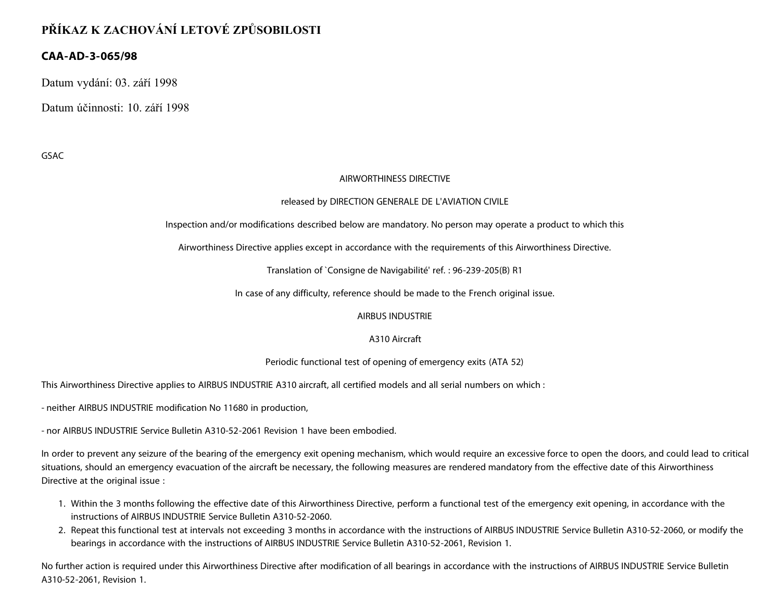# **PŘÍKAZ K ZACHOVÁNÍ LETOVÉ ZPŮSOBILOSTI**

## **CAA-AD-3-065/98**

Datum vydání: 03. září 1998

Datum účinnosti: 10. září 1998

GSAC

### AIRWORTHINESS DIRECTIVE

### released by DIRECTION GENERALE DE L'AVIATION CIVILE

Inspection and/or modifications described below are mandatory. No person may operate a product to which this

Airworthiness Directive applies except in accordance with the requirements of this Airworthiness Directive.

Translation of `Consigne de Navigabilité' ref. : 96-239-205(B) R1

In case of any difficulty, reference should be made to the French original issue.

AIRBUS INDUSTRIE

### A310 Aircraft

### Periodic functional test of opening of emergency exits (ATA 52)

This Airworthiness Directive applies to AIRBUS INDUSTRIE A310 aircraft, all certified models and all serial numbers on which :

- neither AIRBUS INDUSTRIE modification No 11680 in production,

- nor AIRBUS INDUSTRIE Service Bulletin A310-52-2061 Revision 1 have been embodied.

In order to prevent any seizure of the bearing of the emergency exit opening mechanism, which would require an excessive force to open the doors, and could lead to critical situations, should an emergency evacuation of the aircraft be necessary, the following measures are rendered mandatory from the effective date of this Airworthiness Directive at the original issue :

- 1. Within the 3 months following the effective date of this Airworthiness Directive, perform a functional test of the emergency exit opening, in accordance with the instructions of AIRBUS INDUSTRIE Service Bulletin A310-52-2060.
- 2. Repeat this functional test at intervals not exceeding 3 months in accordance with the instructions of AIRBUS INDUSTRIE Service Bulletin A310-52-2060, or modify the bearings in accordance with the instructions of AIRBUS INDUSTRIE Service Bulletin A310-52-2061, Revision 1.

No further action is required under this Airworthiness Directive after modification of all bearings in accordance with the instructions of AIRBUS INDUSTRIE Service Bulletin A310-52-2061, Revision 1.